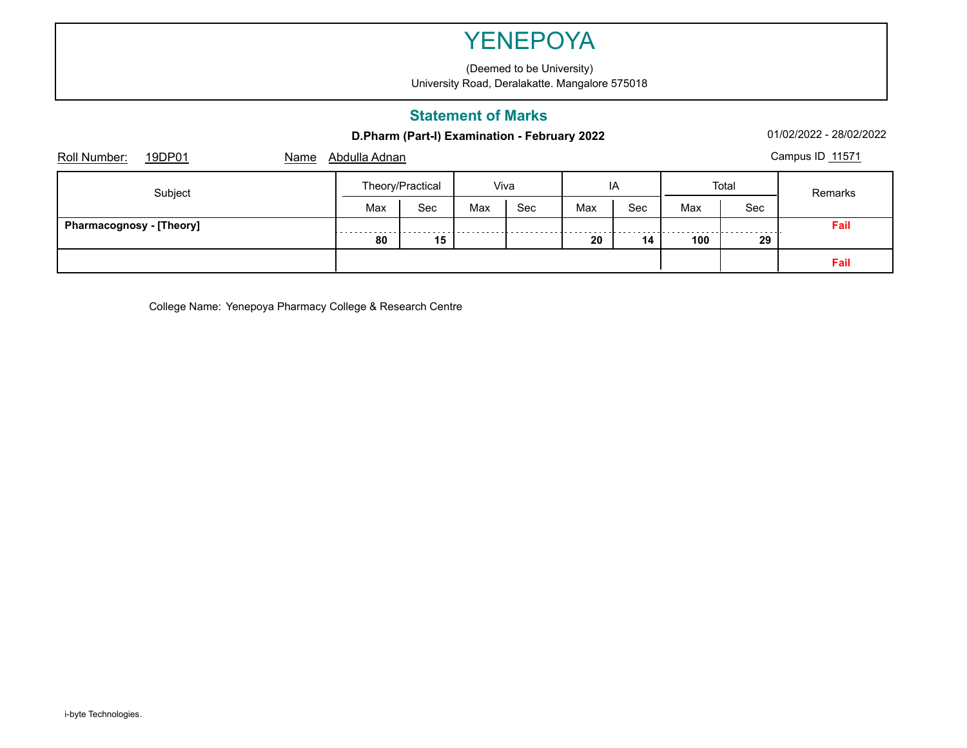(Deemed to be University) University Road, Deralakatte. Mangalore 575018

### **Statement of Marks**

**D.Pharm (Part-I) Examination - February 2022** 01/02/2022 - 28/02/2022 - 28/02/2022

| 19DP01<br>Roll Number:<br>Name  | Abdulla Adnan |                  |      |     |     |     |       |     | Campus ID 11571 |
|---------------------------------|---------------|------------------|------|-----|-----|-----|-------|-----|-----------------|
| Subject                         |               | Theory/Practical | Viva |     | IA  |     | Total |     | Remarks         |
|                                 | Max           | Sec              | Max  | Sec | Max | Sec | Max   | Sec |                 |
| <b>Pharmacognosy - [Theory]</b> | .             |                  |      |     |     |     |       |     | Fail            |
|                                 | 80            | 15               |      |     | 20  | 14  | 100   | 29  |                 |
|                                 |               |                  |      |     |     |     |       |     | Fail            |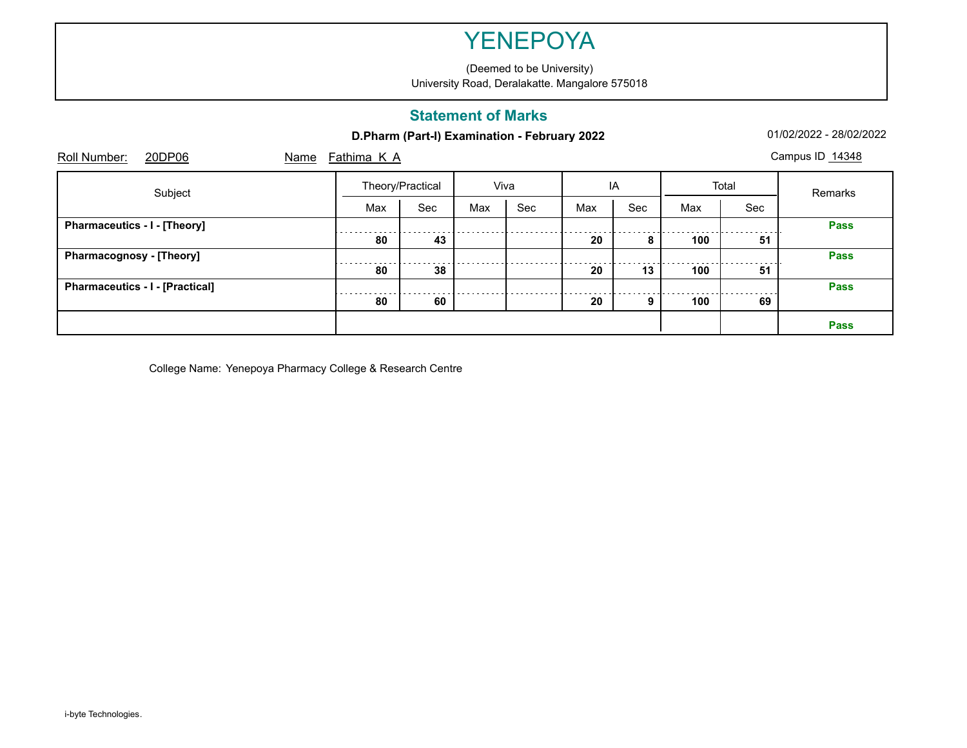(Deemed to be University) University Road, Deralakatte. Mangalore 575018

#### **Statement of Marks**

|  |  | D.Pharm (Part-I) Examination - February 2022 |  |  |
|--|--|----------------------------------------------|--|--|
|--|--|----------------------------------------------|--|--|

**2 D.Pharm (Part-I)** Examination -  $01/02/2022$  -  $28/02/2022$ 

| 20DP06<br>Roll Number:                 | Name | Fathima K A |                  |      |     |     |     |       |     | Campus ID 14348 |
|----------------------------------------|------|-------------|------------------|------|-----|-----|-----|-------|-----|-----------------|
| Subject                                |      |             | Theory/Practical | Viva |     |     | IA  | Total |     | Remarks         |
|                                        |      | Max         | Sec              | Max  | Sec | Max | Sec | Max   | Sec |                 |
| Pharmaceutics - I - [Theory]           |      |             |                  |      |     |     |     |       |     | <b>Pass</b>     |
|                                        |      | 80          | 43               |      |     | 20  | 8   | 100   | 51  |                 |
| <b>Pharmacognosy - [Theory]</b>        |      |             |                  |      |     |     |     |       |     | <b>Pass</b>     |
|                                        |      | 80          | 38               |      |     | 20  | 13  | 100   | 51  |                 |
| <b>Pharmaceutics - I - [Practical]</b> |      | .           |                  |      |     |     |     |       |     | <b>Pass</b>     |
|                                        |      | 80          | 60               |      |     | 20  | 9   | 100   | 69  |                 |
|                                        |      |             |                  |      |     |     |     |       |     | <b>Pass</b>     |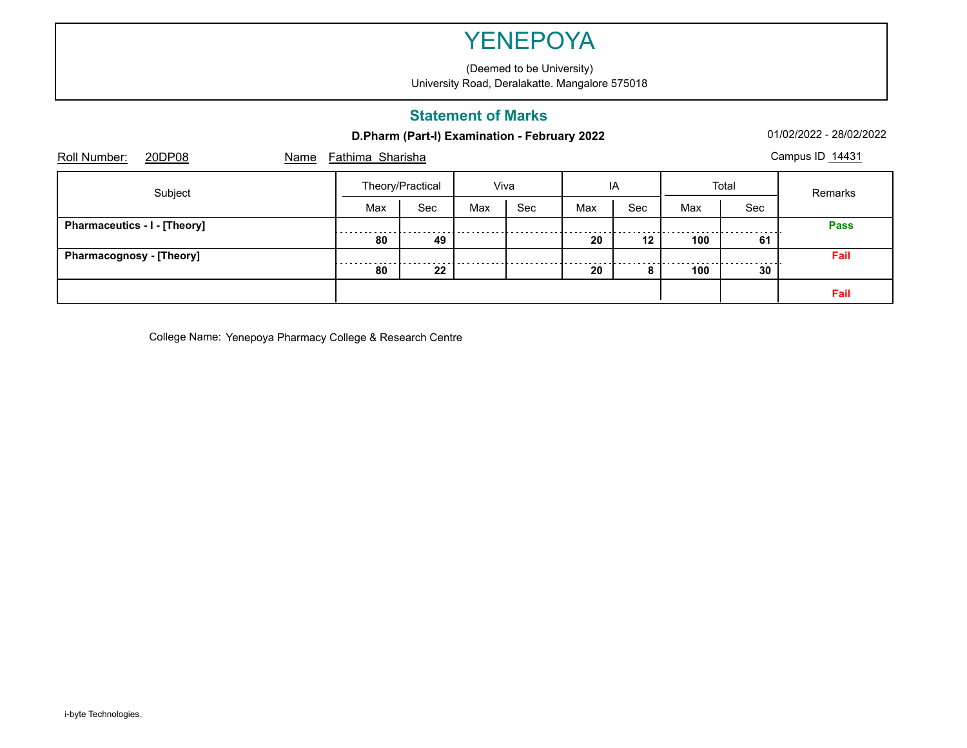(Deemed to be University) University Road, Deralakatte. Mangalore 575018

### **Statement of Marks**

**D.Pharm (Part-I) Examination - February 2022** 01/02/2022 - 28/02/2022 - 28/02/2022

| Roll Number:                        | 20DP08  | Name | Fathima Sharisha |                  |      |     |     |         |     |                 | Campus ID 14431 |
|-------------------------------------|---------|------|------------------|------------------|------|-----|-----|---------|-----|-----------------|-----------------|
|                                     | Subject |      |                  | Theory/Practical | Viva |     |     | IA      |     | Total           | Remarks         |
|                                     |         |      | Max              | Sec              | Max  | Sec | Max | Sec     | Max | Sec             |                 |
| <b>Pharmaceutics - I - [Theory]</b> |         |      |                  |                  |      |     |     |         |     |                 | <b>Pass</b>     |
|                                     |         |      | 80               | 49               |      |     | 20  | $12 \,$ | 100 | 61              |                 |
| <b>Pharmacognosy - [Theory]</b>     |         |      |                  |                  |      |     |     |         |     |                 | Fail            |
|                                     |         |      | 80               | 22               |      |     | 20  | 8       | 100 | 30 <sup>°</sup> |                 |
|                                     |         |      |                  |                  |      |     |     |         |     |                 | Fail            |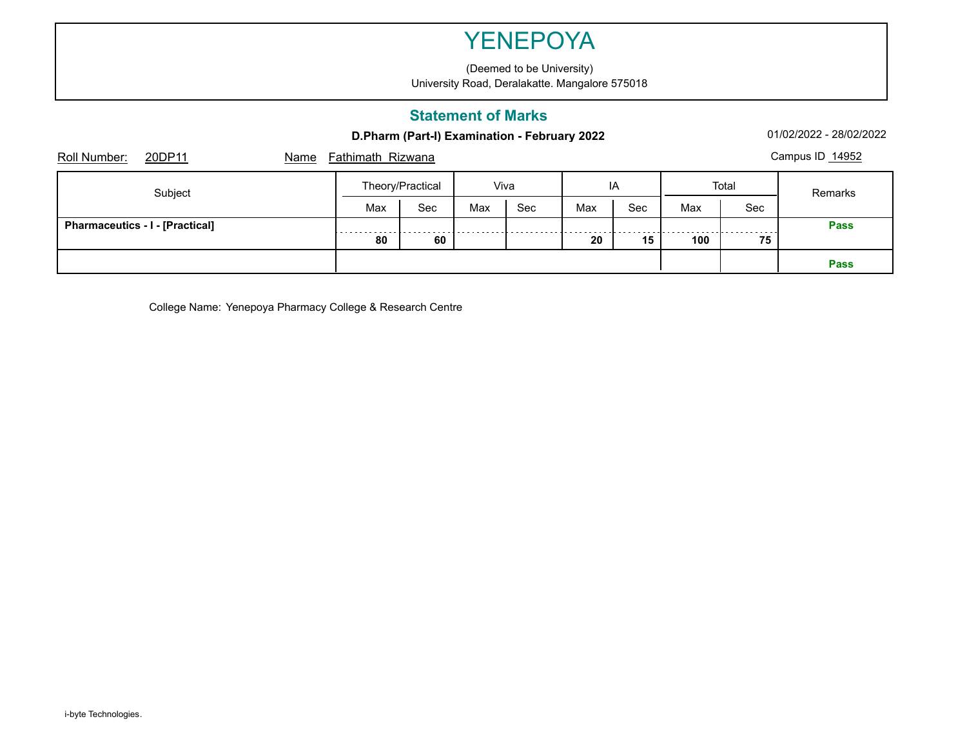(Deemed to be University) University Road, Deralakatte. Mangalore 575018

### **Statement of Marks**

**D.Pharm (Part-I) Examination - February 2022** 01/02/2022 - 28/02/2022 - 28/02/2022

| Roll Number:                           | 20DP11 | Name | <b>Fathimath Rizwana</b> |     |      |     |     |     |       |         | Campus ID 14952 |
|----------------------------------------|--------|------|--------------------------|-----|------|-----|-----|-----|-------|---------|-----------------|
| Subject                                |        |      | Theory/Practical         |     | Viva |     | IA  |     | Total | Remarks |                 |
|                                        |        |      | Max                      | Sec | Max  | Sec | Max | Sec | Max   | Sec     |                 |
| <b>Pharmaceutics - I - [Practical]</b> |        |      | .                        |     |      |     |     |     |       |         | <b>Pass</b>     |
|                                        |        |      | 80                       | 60  |      |     | 20  | 15  | 100   | 75      |                 |
|                                        |        |      |                          |     |      |     |     |     |       |         | <b>Pass</b>     |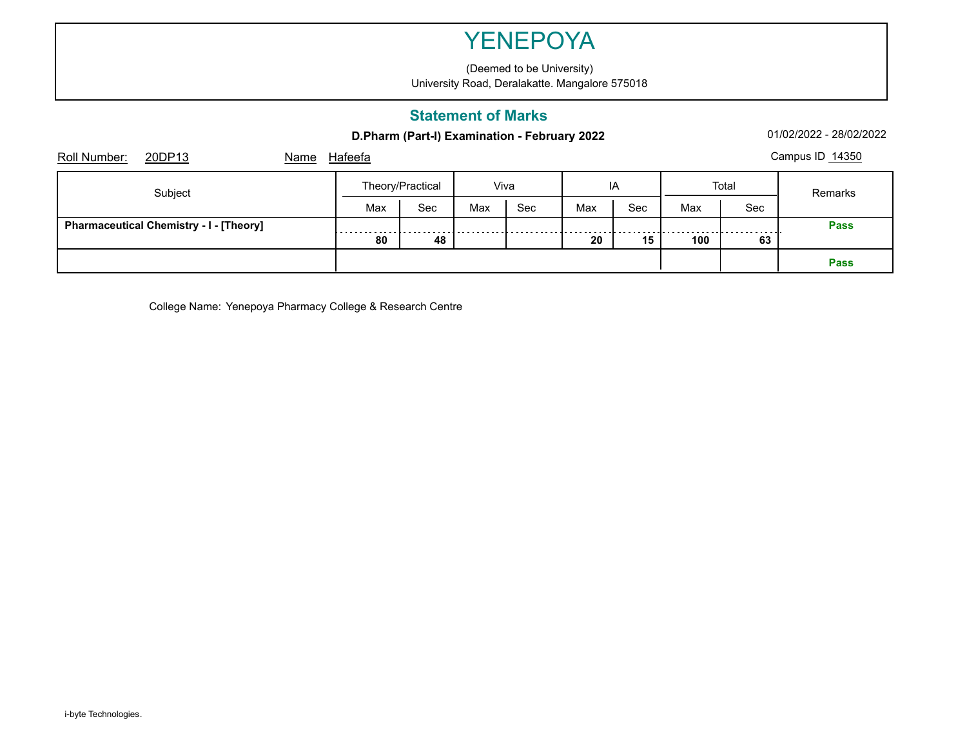(Deemed to be University) University Road, Deralakatte. Mangalore 575018

### **Statement of Marks**

**D.Pharm (Part-I) Examination - February 2022** 01/02/2022 - 28/02/2022 - 28/02/2022

| Roll Number:<br>20DP13<br>Name                 | Hafeefa |                  |      |     |     |     |       |     | Campus ID 14350 |
|------------------------------------------------|---------|------------------|------|-----|-----|-----|-------|-----|-----------------|
| Subject                                        |         | Theory/Practical | Viva |     | IA  |     | Total |     | Remarks         |
|                                                | Max     | Sec              | Max  | Sec | Max | Sec | Max   | Sec |                 |
| <b>Pharmaceutical Chemistry - I - [Theory]</b> | .       |                  |      |     |     |     |       |     | <b>Pass</b>     |
|                                                | 80      | 48               |      |     | 20  | 15  | 100   | 63  |                 |
|                                                |         |                  |      |     |     |     |       |     | <b>Pass</b>     |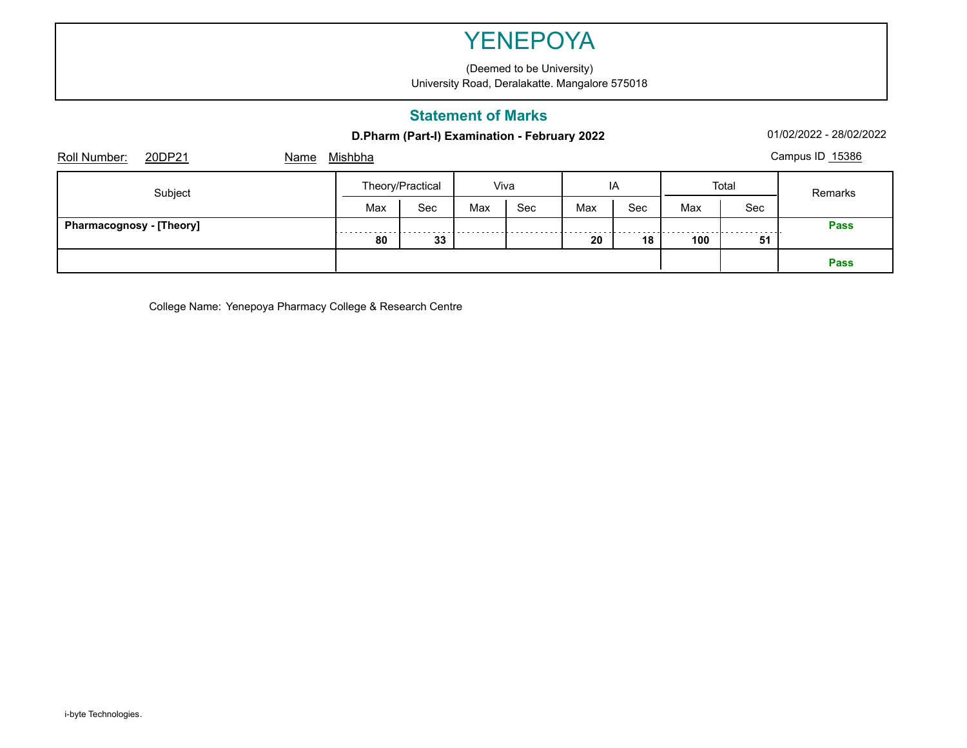(Deemed to be University) University Road, Deralakatte. Mangalore 575018

### **Statement of Marks**

#### **D.Pharm (Part-I) Examination - February 2022** 01/02/2022 - 28/02/2022 - 28/02/2022

| 20DP21<br>Roll Number:<br>Name  | <u>Mishbha</u> |                  |      |     |     |     |       |     | Campus ID 15386 |
|---------------------------------|----------------|------------------|------|-----|-----|-----|-------|-----|-----------------|
| Subject                         |                | Theory/Practical | Viva |     | IA  |     | Total |     | Remarks         |
|                                 | Max            | Sec              | Max  | Sec | Max | Sec | Max   | Sec |                 |
| <b>Pharmacognosy - [Theory]</b> | .              |                  |      |     |     |     |       |     | <b>Pass</b>     |
|                                 | 80             | 33               |      |     | 20  | 18  | 100   | 51  |                 |
|                                 |                |                  |      |     |     |     |       |     | <b>Pass</b>     |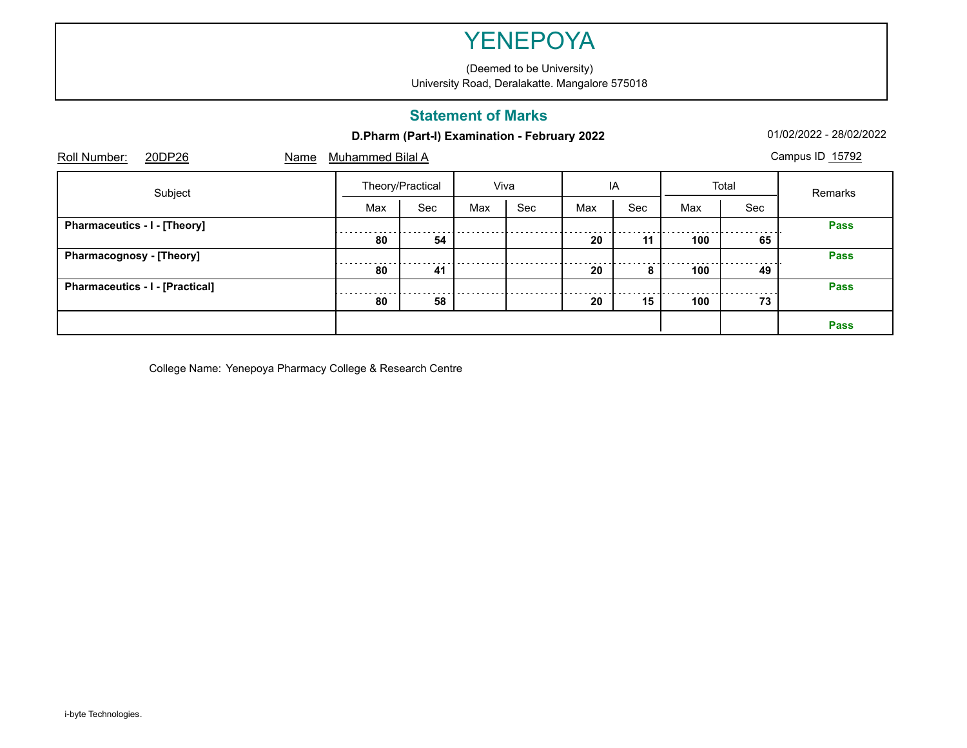(Deemed to be University) University Road, Deralakatte. Mangalore 575018

### **Statement of Marks**

|  |  | D.Pharm (Part-I) Examination - February 2022 |  |  |
|--|--|----------------------------------------------|--|--|
|--|--|----------------------------------------------|--|--|

**2 D.Pharm (Part-I)** Examination -  $01/02/2022$  -  $28/02/2022$ 

| 20DP26<br>Roll Number:                 | Name | Muhammed Bilal A |                  |     |      |     |     |       |     | Campus ID 15792 |
|----------------------------------------|------|------------------|------------------|-----|------|-----|-----|-------|-----|-----------------|
| Subject                                |      |                  | Theory/Practical |     | Viva |     | IA  | Total |     | Remarks         |
|                                        |      | Max              | Sec              | Max | Sec  | Max | Sec | Max   | Sec |                 |
| Pharmaceutics - I - [Theory]           |      |                  |                  |     |      |     |     |       |     | <b>Pass</b>     |
|                                        |      | 80               | 54               |     |      | 20  | 11  | 100   | 65  |                 |
| <b>Pharmacognosy - [Theory]</b>        |      |                  |                  |     |      |     |     |       |     | <b>Pass</b>     |
|                                        |      | 80               | 41               |     |      | 20  | 8   | 100   | 49  |                 |
| <b>Pharmaceutics - I - [Practical]</b> |      |                  |                  |     |      |     |     |       |     | <b>Pass</b>     |
|                                        |      | 80               | 58               |     |      | 20  | 15  | 100   | 73  |                 |
|                                        |      |                  |                  |     |      |     |     |       |     | Pass            |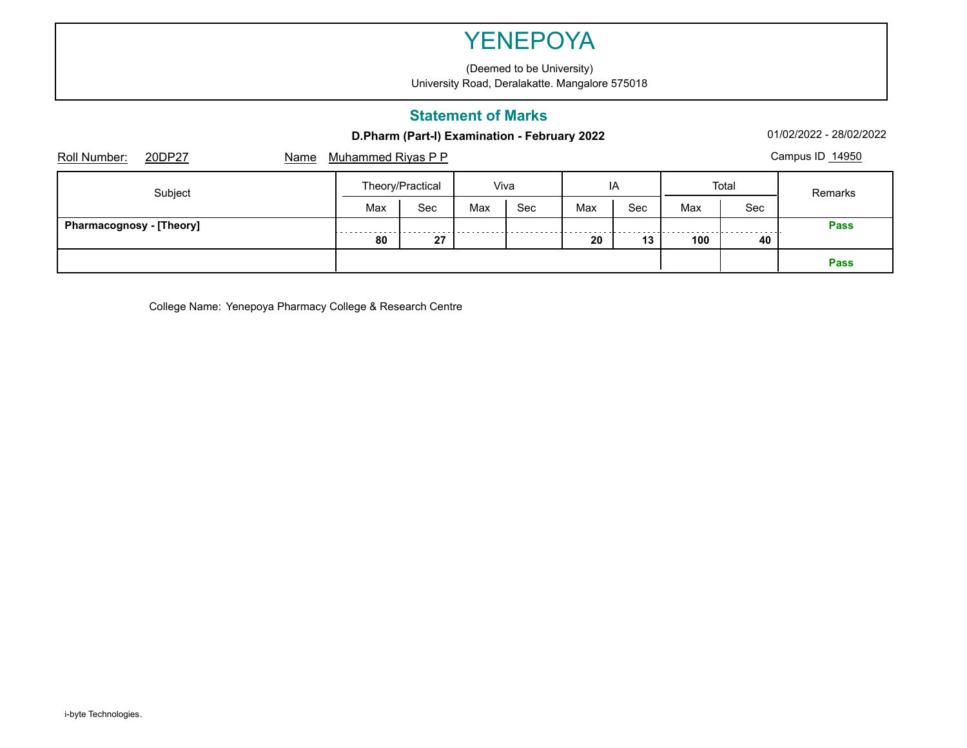(Deemed to be University) University Road, Deralakatte. Mangalore 575018

### **Statement of Marks**

**D.Pharm (Part-I) Examination - February 2022** 01/02/2022 - 28/02/2022 - 28/02/2022

| Roll Number:<br>20DP27<br>Name  | <b>Muhammed Riyas P P</b> |     |      |     |     |     |       |     | Campus ID 14950 |
|---------------------------------|---------------------------|-----|------|-----|-----|-----|-------|-----|-----------------|
| Subject                         | Theory/Practical          |     | Viva |     | IA  |     | Total |     | Remarks         |
|                                 | Max                       | Sec | Max  | Sec | Max | Sec | Max   | Sec |                 |
| <b>Pharmacognosy - [Theory]</b> | .                         |     |      |     |     |     |       |     | <b>Pass</b>     |
|                                 | 80                        | 27  |      |     | 20  | 13  | 100   | 40  |                 |
|                                 |                           |     |      |     |     |     |       |     | <b>Pass</b>     |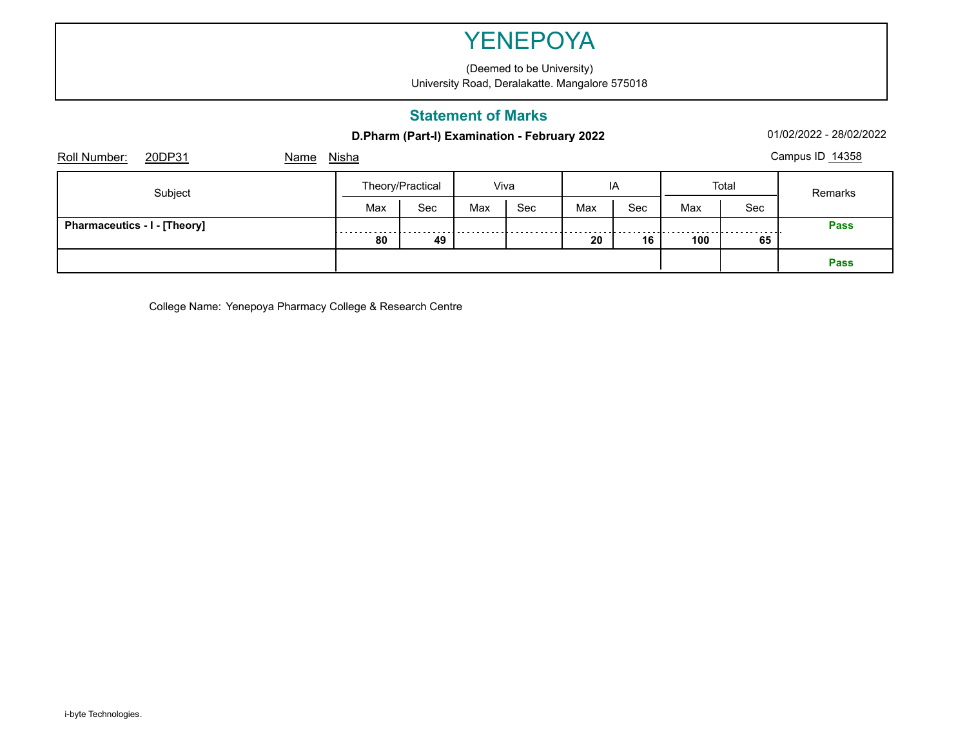(Deemed to be University) University Road, Deralakatte. Mangalore 575018

### **Statement of Marks**

#### **D.Pharm (Part-I) Examination - February 2022** 01/02/2022 - 28/02/2022 - 28/02/2022

| 20DP31<br>Roll Number:<br>Name      | <b>Nisha</b> |                  |      |     |     |     |       |     | Campus ID 14358 |
|-------------------------------------|--------------|------------------|------|-----|-----|-----|-------|-----|-----------------|
| Subject                             |              | Theory/Practical | Viva |     | IA  |     | Total |     | Remarks         |
|                                     | Max          | Sec              | Max  | Sec | Max | Sec | Max   | Sec |                 |
| <b>Pharmaceutics - I - [Theory]</b> | .            |                  |      |     |     |     |       |     | <b>Pass</b>     |
|                                     | 80           | 49               |      |     | 20  | 16  | 100   | 65  |                 |
|                                     |              |                  |      |     |     |     |       |     | Pass            |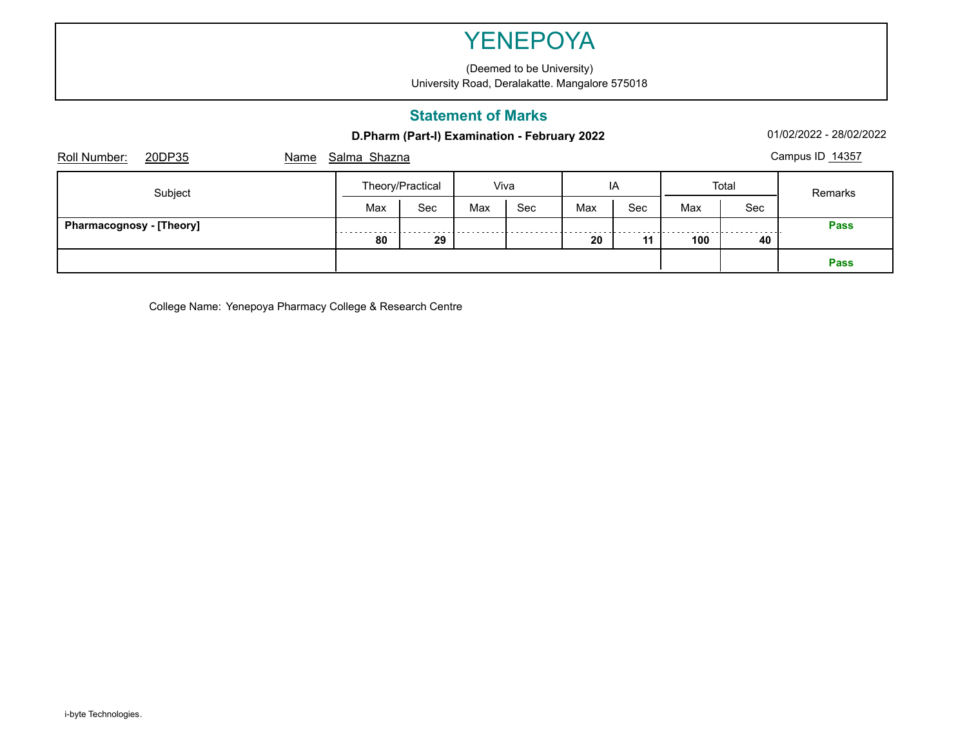(Deemed to be University) University Road, Deralakatte. Mangalore 575018

### **Statement of Marks**

**D.Pharm (Part-I) Examination - February 2022** 01/02/2022 - 28/02/2022 - 28/02/2022

| Roll Number:<br>20DP35          | Name | Salma Shazna     |      |     |     |     |       |     |         | Campus ID 14357 |
|---------------------------------|------|------------------|------|-----|-----|-----|-------|-----|---------|-----------------|
| Subject                         |      | Theory/Practical | Viva |     | IA  |     | Total |     | Remarks |                 |
|                                 |      | Max              | Sec  | Max | Sec | Max | Sec   | Max | Sec     |                 |
| <b>Pharmacognosy - [Theory]</b> |      | .                |      |     |     |     |       |     |         | <b>Pass</b>     |
|                                 |      | 80               | 29   |     |     | 20  | 11    | 100 | 40      |                 |
|                                 |      |                  |      |     |     |     |       |     |         | <b>Pass</b>     |